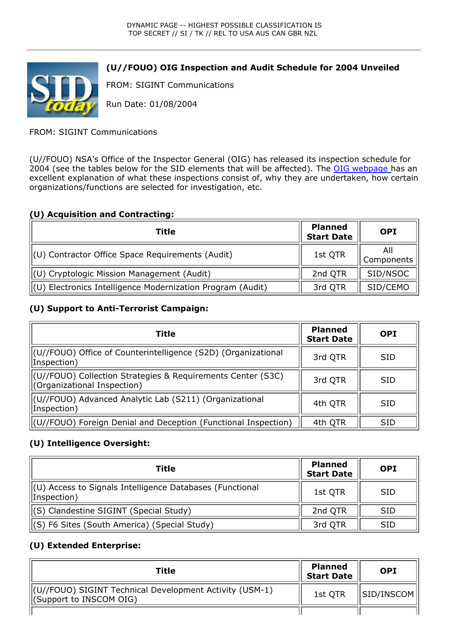

# **(U//FOUO) OIG Inspection and Audit Schedule for 2004 Unveiled**

FROM: SIGINT Communications

Run Date: 01/08/2004

FROM: SIGINT Communications

(U//FOUO) NSA's Office of the Inspector General (OIG) has released its inspection schedule for 2004 (see the tables below for the SID elements that will be affected). The OIG webpage has an excellent explanation of what these inspections consist of, why they are undertaken, how certain organizations/functions are selected for investigation, etc.

## **(U) Acquisition and Contracting:**

| Title                                                        | <b>Planned</b><br><b>Start Date</b> | <b>OPI</b>        |
|--------------------------------------------------------------|-------------------------------------|-------------------|
| $\parallel$ (U) Contractor Office Space Requirements (Audit) | 1st QTR                             | All<br>Components |
| $\parallel$ (U) Cryptologic Mission Management (Audit)       | 2nd QTR                             | SID/NSOC          |
| (U) Electronics Intelligence Modernization Program (Audit)   | 3rd QTR                             | SID/CEMO          |

#### **(U) Support to Anti-Terrorist Campaign:**

| Title                                                                                      | <b>Planned</b><br><b>Start Date</b> | <b>OPI</b> |
|--------------------------------------------------------------------------------------------|-------------------------------------|------------|
| (U//FOUO) Office of Counterintelligence (S2D) (Organizational<br>Inspection)               | 3rd QTR                             | <b>SID</b> |
| (U//FOUO) Collection Strategies & Requirements Center (S3C)<br>Corganizational Inspection) | 3rd QTR                             | <b>SID</b> |
| (U//FOUO) Advanced Analytic Lab (S211) (Organizational<br>Inspection)                      | 4th QTR                             | <b>SID</b> |
| (U//FOUO) Foreign Denial and Deception (Functional Inspection)                             | 4th QTR                             | <b>SID</b> |

## **(U) Intelligence Oversight:**

| Title                                                                   | <b>Planned</b><br><b>Start Date</b> | <b>OPI</b> |
|-------------------------------------------------------------------------|-------------------------------------|------------|
| (U) Access to Signals Intelligence Databases (Functional<br>Inspection) | 1st QTR                             | <b>SID</b> |
| (S) Clandestine SIGINT (Special Study)                                  | 2nd QTR                             | <b>SID</b> |
| (S) F6 Sites (South America) (Special Study)                            | 3rd QTR                             | <b>SID</b> |

## **(U) Extended Enterprise:**

| Title                                                                                          | <b>Planned</b><br>Start Date | <b>OPI</b>           |
|------------------------------------------------------------------------------------------------|------------------------------|----------------------|
| (U//FOUO) SIGINT Technical Development Activity (USM-1)<br>$\parallel$ (Support to INSCOM OIG) | 1st OTR                      | $  $ SID/INSCOM $  $ |
|                                                                                                |                              |                      |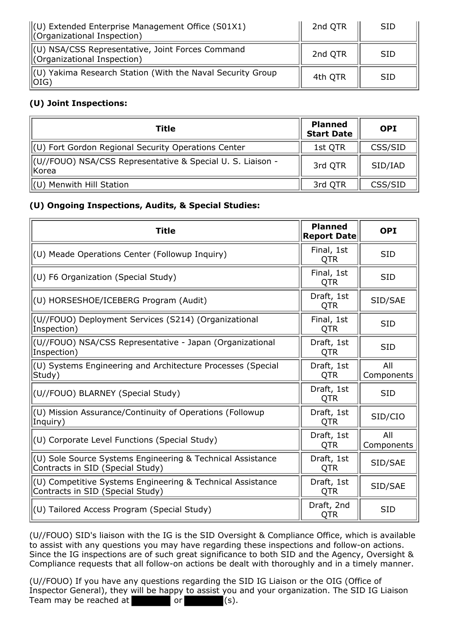| $\parallel$ (U) Extended Enterprise Management Office (S01X1)<br>Corganizational Inspection) | 2nd QTR | <b>SID</b> |
|----------------------------------------------------------------------------------------------|---------|------------|
| (U) NSA/CSS Representative, Joint Forces Command<br>Corganizational Inspection)              | 2nd QTR | <b>SID</b> |
| (U) Yakima Research Station (With the Naval Security Group<br>  OIG)                         | 4th QTR | <b>SID</b> |

# **(U) Joint Inspections:**

| Title                                                                 | <b>Planned</b><br><b>Start Date</b> | <b>OPI</b> |
|-----------------------------------------------------------------------|-------------------------------------|------------|
| (U) Fort Gordon Regional Security Operations Center                   | 1st QTR                             | CSS/SID    |
| (U//FOUO) NSA/CSS Representative & Special U. S. Liaison -<br>  Korea | 3rd QTR                             | SID/IAD    |
| (U) Menwith Hill Station                                              | 3rd QTR                             | CSS/SID    |

## **(U) Ongoing Inspections, Audits, & Special Studies:**

| <b>Title</b>                                                                                   | <b>Planned</b><br><b>Report Date</b> | <b>OPI</b>        |
|------------------------------------------------------------------------------------------------|--------------------------------------|-------------------|
| (U) Meade Operations Center (Followup Inquiry)                                                 | Final, 1st<br><b>QTR</b>             | <b>SID</b>        |
| (U) F6 Organization (Special Study)                                                            | Final, 1st<br><b>QTR</b>             | <b>SID</b>        |
| (U) HORSESHOE/ICEBERG Program (Audit)                                                          | Draft, 1st<br>QTR                    | SID/SAE           |
| (U//FOUO) Deployment Services (S214) (Organizational<br>Inspection)                            | Final, 1st<br><b>QTR</b>             | <b>SID</b>        |
| (U//FOUO) NSA/CSS Representative - Japan (Organizational<br>Inspection)                        | Draft, 1st<br><b>QTR</b>             | <b>SID</b>        |
| (U) Systems Engineering and Architecture Processes (Special<br>Study)                          | Draft, 1st<br><b>QTR</b>             | All<br>Components |
| (U//FOUO) BLARNEY (Special Study)                                                              | Draft, 1st<br><b>QTR</b>             | <b>SID</b>        |
| (U) Mission Assurance/Continuity of Operations (Followup<br>Inquiry)                           | Draft, 1st<br><b>QTR</b>             | SID/CIO           |
| (U) Corporate Level Functions (Special Study)                                                  | Draft, 1st<br><b>QTR</b>             | All<br>Components |
| (U) Sole Source Systems Engineering & Technical Assistance<br>Contracts in SID (Special Study) | Draft, 1st<br>QTR                    | SID/SAE           |
| (U) Competitive Systems Engineering & Technical Assistance<br>Contracts in SID (Special Study) | Draft, 1st<br><b>QTR</b>             | SID/SAE           |
| (U) Tailored Access Program (Special Study)                                                    | Draft, 2nd<br>QTR                    | <b>SID</b>        |

(U//FOUO) SID's liaison with the IG is the SID Oversight & Compliance Office, which is available to assist with any questions you may have regarding these inspections and follow-on actions. Since the IG inspections are of such great significance to both SID and the Agency, Oversight & Compliance requests that all follow-on actions be dealt with thoroughly and in a timely manner.

(U//FOUO) If you have any questions regarding the SID IG Liaison or the OIG (Office of Inspector General), they will be happy to assist you and your organization. The SID IG Liaison Team may be reached at  $\qquad \qquad$  or  $\qquad \qquad$  (s).